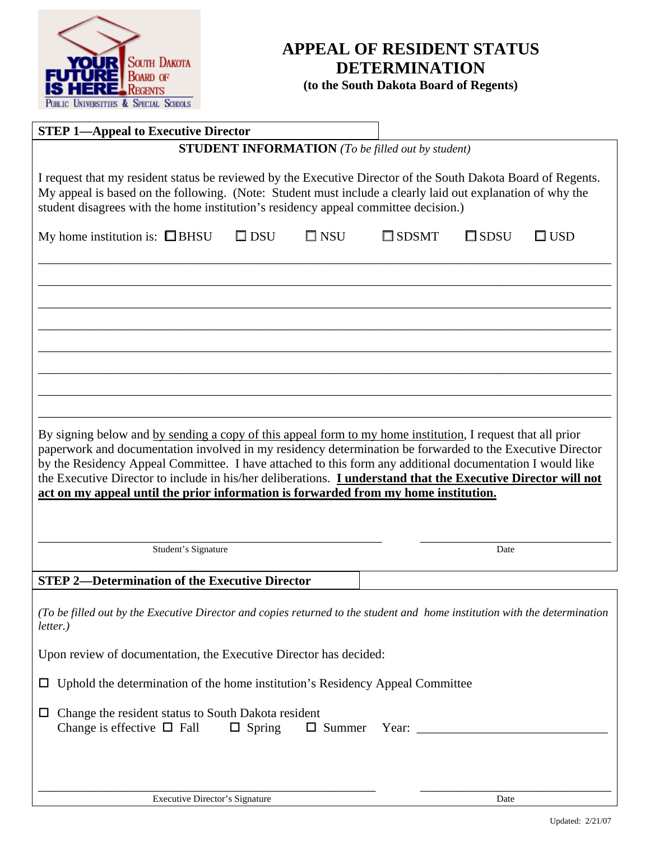

# **APPEAL OF RESIDENT STATUS DETERMINATION**

**(to the South Dakota Board of Regents)** 

| <b>STEP 1-Appeal to Executive Director</b>                                                                                                                                                                                                                                                                                                                                                                                                                                                                                                          |               |               |                                                                                                                                                                                                                                                                                                                                                                                                                                                   |                |            |  |
|-----------------------------------------------------------------------------------------------------------------------------------------------------------------------------------------------------------------------------------------------------------------------------------------------------------------------------------------------------------------------------------------------------------------------------------------------------------------------------------------------------------------------------------------------------|---------------|---------------|---------------------------------------------------------------------------------------------------------------------------------------------------------------------------------------------------------------------------------------------------------------------------------------------------------------------------------------------------------------------------------------------------------------------------------------------------|----------------|------------|--|
|                                                                                                                                                                                                                                                                                                                                                                                                                                                                                                                                                     |               |               | <b>STUDENT INFORMATION</b> (To be filled out by student)                                                                                                                                                                                                                                                                                                                                                                                          |                |            |  |
| I request that my resident status be reviewed by the Executive Director of the South Dakota Board of Regents.<br>My appeal is based on the following. (Note: Student must include a clearly laid out explanation of why the<br>student disagrees with the home institution's residency appeal committee decision.)                                                                                                                                                                                                                                  |               |               |                                                                                                                                                                                                                                                                                                                                                                                                                                                   |                |            |  |
| My home institution is: $\Box$ BHSU                                                                                                                                                                                                                                                                                                                                                                                                                                                                                                                 | $\square$ DSU | $\square$ NSU | $\Box$ SDSMT                                                                                                                                                                                                                                                                                                                                                                                                                                      | $\square$ SDSU | $\Box$ USD |  |
|                                                                                                                                                                                                                                                                                                                                                                                                                                                                                                                                                     |               |               |                                                                                                                                                                                                                                                                                                                                                                                                                                                   |                |            |  |
|                                                                                                                                                                                                                                                                                                                                                                                                                                                                                                                                                     |               |               |                                                                                                                                                                                                                                                                                                                                                                                                                                                   |                |            |  |
|                                                                                                                                                                                                                                                                                                                                                                                                                                                                                                                                                     |               |               |                                                                                                                                                                                                                                                                                                                                                                                                                                                   |                |            |  |
|                                                                                                                                                                                                                                                                                                                                                                                                                                                                                                                                                     |               |               |                                                                                                                                                                                                                                                                                                                                                                                                                                                   |                |            |  |
|                                                                                                                                                                                                                                                                                                                                                                                                                                                                                                                                                     |               |               |                                                                                                                                                                                                                                                                                                                                                                                                                                                   |                |            |  |
| By signing below and by sending a copy of this appeal form to my home institution, I request that all prior<br>paperwork and documentation involved in my residency determination be forwarded to the Executive Director<br>by the Residency Appeal Committee. I have attached to this form any additional documentation I would like<br>the Executive Director to include in his/her deliberations. <i>Lunderstand that the Executive Director will not</i><br>act on my appeal until the prior information is forwarded from my home institution. |               |               |                                                                                                                                                                                                                                                                                                                                                                                                                                                   |                |            |  |
| Student's Signature                                                                                                                                                                                                                                                                                                                                                                                                                                                                                                                                 |               |               |                                                                                                                                                                                                                                                                                                                                                                                                                                                   | Date           |            |  |
| <b>STEP 2-Determination of the Executive Director</b>                                                                                                                                                                                                                                                                                                                                                                                                                                                                                               |               |               |                                                                                                                                                                                                                                                                                                                                                                                                                                                   |                |            |  |
| (To be filled out by the Executive Director and copies returned to the student and home institution with the determination<br>letter.)                                                                                                                                                                                                                                                                                                                                                                                                              |               |               |                                                                                                                                                                                                                                                                                                                                                                                                                                                   |                |            |  |
|                                                                                                                                                                                                                                                                                                                                                                                                                                                                                                                                                     |               |               |                                                                                                                                                                                                                                                                                                                                                                                                                                                   |                |            |  |
| Upon review of documentation, the Executive Director has decided:                                                                                                                                                                                                                                                                                                                                                                                                                                                                                   |               |               |                                                                                                                                                                                                                                                                                                                                                                                                                                                   |                |            |  |
| Uphold the determination of the home institution's Residency Appeal Committee<br>$\Box$                                                                                                                                                                                                                                                                                                                                                                                                                                                             |               |               |                                                                                                                                                                                                                                                                                                                                                                                                                                                   |                |            |  |
| Change the resident status to South Dakota resident<br>Ц<br>Change is effective $\Box$ Fall                                                                                                                                                                                                                                                                                                                                                                                                                                                         | $\Box$ Spring | $\Box$ Summer | Year: $\frac{1}{\sqrt{1-\frac{1}{2}} \cdot \frac{1}{2} \cdot \frac{1}{2} \cdot \frac{1}{2} \cdot \frac{1}{2} \cdot \frac{1}{2} \cdot \frac{1}{2} \cdot \frac{1}{2} \cdot \frac{1}{2} \cdot \frac{1}{2} \cdot \frac{1}{2} \cdot \frac{1}{2} \cdot \frac{1}{2} \cdot \frac{1}{2} \cdot \frac{1}{2} \cdot \frac{1}{2} \cdot \frac{1}{2} \cdot \frac{1}{2} \cdot \frac{1}{2} \cdot \frac{1}{2} \cdot \frac{1}{2} \cdot \frac{1}{2} \cdot \frac{1}{2}$ |                |            |  |
|                                                                                                                                                                                                                                                                                                                                                                                                                                                                                                                                                     |               |               |                                                                                                                                                                                                                                                                                                                                                                                                                                                   |                |            |  |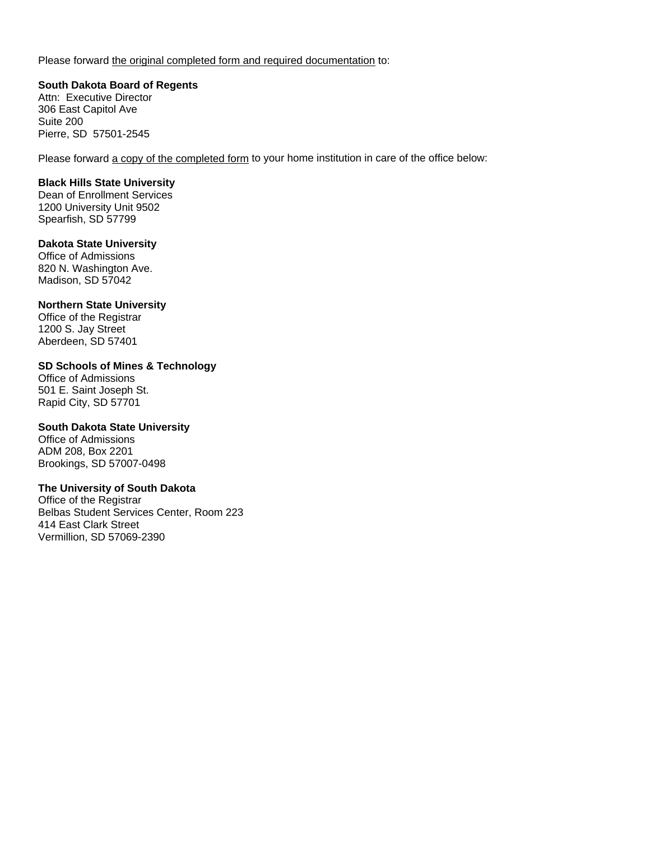Please forward the original completed form and required documentation to:

**South Dakota Board of Regents**  Attn: Executive Director 306 East Capitol Ave Suite 200 Pierre, SD 57501-2545

Please forward a copy of the completed form to your home institution in care of the office below:

#### **Black Hills State University**

Dean of Enrollment Services 1200 University Unit 9502 Spearfish, SD 57799

#### **Dakota State University**

Office of Admissions 820 N. Washington Ave. Madison, SD 57042

#### **Northern State University**

Office of the Registrar 1200 S. Jay Street Aberdeen, SD 57401

#### **SD Schools of Mines & Technology**

Office of Admissions 501 E. Saint Joseph St. Rapid City, SD 57701

### **South Dakota State University**

Office of Admissions ADM 208, Box 2201 Brookings, SD 57007-0498

#### **The University of South Dakota**

Office of the Registrar Belbas Student Services Center, Room 223 414 East Clark Street Vermillion, SD 57069-2390